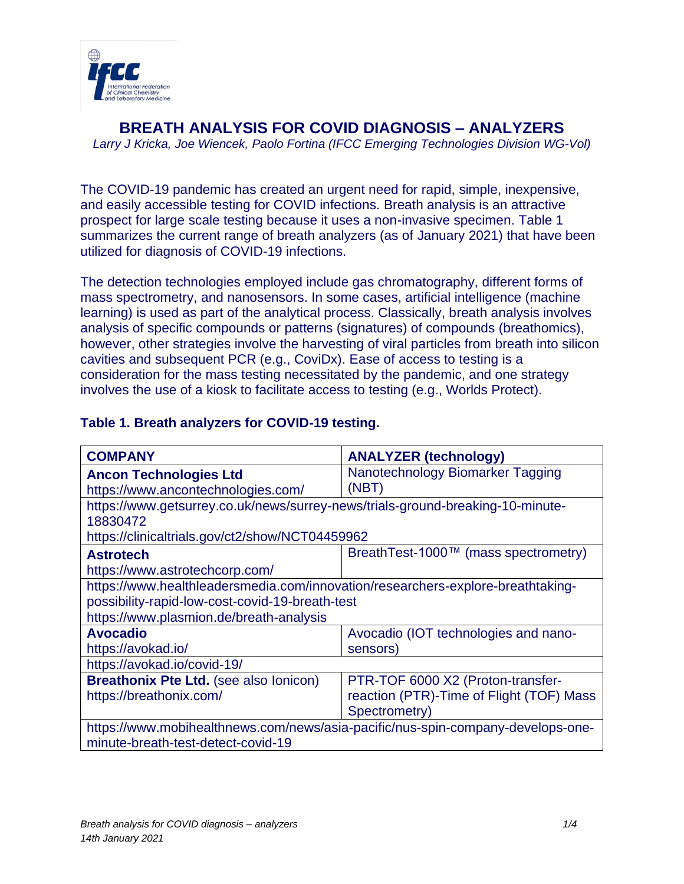

## **BREATH ANALYSIS FOR COVID DIAGNOSIS – ANALYZERS**

*Larry J Kricka, Joe Wiencek, Paolo Fortina (IFCC Emerging Technologies Division WG-Vol)*

The COVID-19 pandemic has created an urgent need for rapid, simple, inexpensive, and easily accessible testing for COVID infections. Breath analysis is an attractive prospect for large scale testing because it uses a non-invasive specimen. Table 1 summarizes the current range of breath analyzers (as of January 2021) that have been utilized for diagnosis of COVID-19 infections.

The detection technologies employed include gas chromatography, different forms of mass spectrometry, and nanosensors. In some cases, artificial intelligence (machine learning) is used as part of the analytical process. Classically, breath analysis involves analysis of specific compounds or patterns (signatures) of compounds (breathomics), however, other strategies involve the harvesting of viral particles from breath into silicon cavities and subsequent PCR (e.g., CoviDx). Ease of access to testing is a consideration for the mass testing necessitated by the pandemic, and one strategy involves the use of a kiosk to facilitate access to testing (e.g., Worlds Protect).

| <b>COMPANY</b>                                                                  | <b>ANALYZER (technology)</b>             |  |
|---------------------------------------------------------------------------------|------------------------------------------|--|
| <b>Ancon Technologies Ltd</b>                                                   | Nanotechnology Biomarker Tagging         |  |
| https://www.ancontechnologies.com/                                              | (NBT)                                    |  |
| https://www.getsurrey.co.uk/news/surrey-news/trials-ground-breaking-10-minute-  |                                          |  |
| 18830472                                                                        |                                          |  |
| https://clinicaltrials.gov/ct2/show/NCT04459962                                 |                                          |  |
| <b>Astrotech</b>                                                                | BreathTest-1000™ (mass spectrometry)     |  |
| https://www.astrotechcorp.com/                                                  |                                          |  |
| https://www.healthleadersmedia.com/innovation/researchers-explore-breathtaking- |                                          |  |
| possibility-rapid-low-cost-covid-19-breath-test                                 |                                          |  |
| https://www.plasmion.de/breath-analysis                                         |                                          |  |
| <b>Avocadio</b>                                                                 | Avocadio (IOT technologies and nano-     |  |
| https://avokad.io/                                                              | sensors)                                 |  |
| https://avokad.io/covid-19/                                                     |                                          |  |
| Breathonix Pte Ltd. (see also lonicon)                                          | PTR-TOF 6000 X2 (Proton-transfer-        |  |
| https://breathonix.com/                                                         | reaction (PTR)-Time of Flight (TOF) Mass |  |
|                                                                                 | Spectrometry)                            |  |
| https://www.mobihealthnews.com/news/asia-pacific/nus-spin-company-develops-one- |                                          |  |
| minute-breath-test-detect-covid-19                                              |                                          |  |

## **Table 1. Breath analyzers for COVID-19 testing.**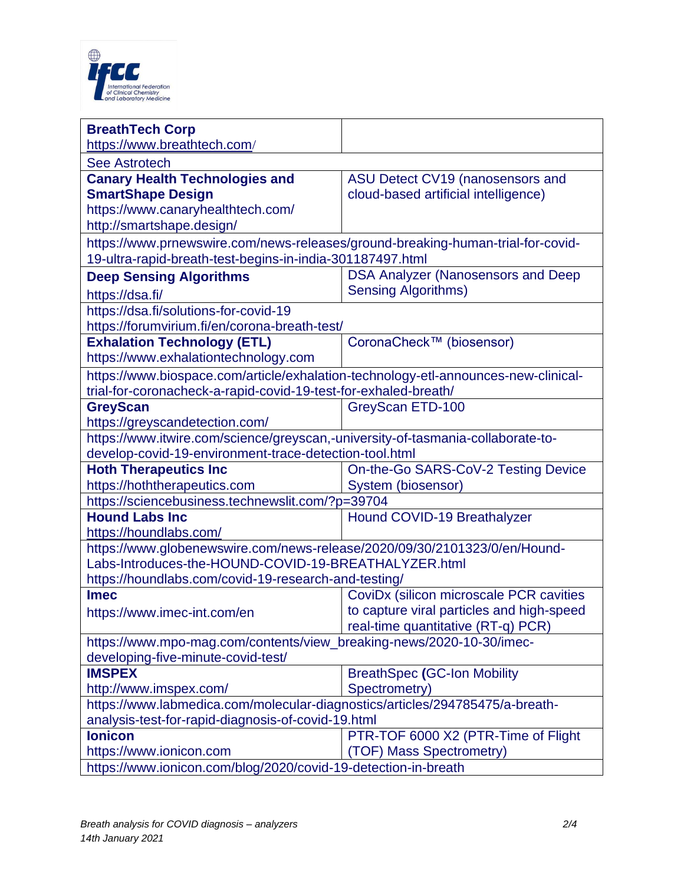

| <b>BreathTech Corp</b>                                                                                                             |                                           |  |
|------------------------------------------------------------------------------------------------------------------------------------|-------------------------------------------|--|
| https://www.breathtech.com/                                                                                                        |                                           |  |
| <b>See Astrotech</b>                                                                                                               |                                           |  |
| <b>Canary Health Technologies and</b>                                                                                              | ASU Detect CV19 (nanosensors and          |  |
| <b>SmartShape Design</b>                                                                                                           | cloud-based artificial intelligence)      |  |
| https://www.canaryhealthtech.com/                                                                                                  |                                           |  |
| http://smartshape.design/                                                                                                          |                                           |  |
| https://www.prnewswire.com/news-releases/ground-breaking-human-trial-for-covid-                                                    |                                           |  |
| 19-ultra-rapid-breath-test-begins-in-india-301187497.html                                                                          |                                           |  |
| <b>Deep Sensing Algorithms</b>                                                                                                     | <b>DSA Analyzer (Nanosensors and Deep</b> |  |
| https://dsa.fi/                                                                                                                    | <b>Sensing Algorithms)</b>                |  |
| https://dsa.fi/solutions-for-covid-19                                                                                              |                                           |  |
| https://forumvirium.fi/en/corona-breath-test/                                                                                      |                                           |  |
| <b>Exhalation Technology (ETL)</b>                                                                                                 | CoronaCheck™ (biosensor)                  |  |
| https://www.exhalationtechnology.com                                                                                               |                                           |  |
| https://www.biospace.com/article/exhalation-technology-etl-announces-new-clinical-                                                 |                                           |  |
| trial-for-coronacheck-a-rapid-covid-19-test-for-exhaled-breath/                                                                    |                                           |  |
| <b>GreyScan</b>                                                                                                                    | GreyScan ETD-100                          |  |
| https://greyscandetection.com/                                                                                                     |                                           |  |
| https://www.itwire.com/science/greyscan,-university-of-tasmania-collaborate-to-                                                    |                                           |  |
| develop-covid-19-environment-trace-detection-tool.html                                                                             |                                           |  |
| <b>Hoth Therapeutics Inc</b>                                                                                                       | On-the-Go SARS-CoV-2 Testing Device       |  |
| https://hoththerapeutics.com                                                                                                       | System (biosensor)                        |  |
| https://sciencebusiness.technewslit.com/?p=39704                                                                                   |                                           |  |
| <b>Hound Labs Inc</b>                                                                                                              | Hound COVID-19 Breathalyzer               |  |
| https://houndlabs.com/                                                                                                             |                                           |  |
| https://www.globenewswire.com/news-release/2020/09/30/2101323/0/en/Hound-                                                          |                                           |  |
| Labs-Introduces-the-HOUND-COVID-19-BREATHALYZER.html                                                                               |                                           |  |
| https://houndlabs.com/covid-19-research-and-testing/                                                                               |                                           |  |
| <b>Imec</b>                                                                                                                        | CoviDx (silicon microscale PCR cavities   |  |
| https://www.imec-int.com/en                                                                                                        | to capture viral particles and high-speed |  |
|                                                                                                                                    | real-time quantitative (RT-q) PCR)        |  |
| https://www.mpo-mag.com/contents/view_breaking-news/2020-10-30/imec-                                                               |                                           |  |
| developing-five-minute-covid-test/                                                                                                 |                                           |  |
| <b>IMSPEX</b>                                                                                                                      | <b>BreathSpec (GC-Ion Mobility</b>        |  |
| http://www.imspex.com/                                                                                                             | Spectrometry)                             |  |
| https://www.labmedica.com/molecular-diagnostics/articles/294785475/a-breath-<br>analysis-test-for-rapid-diagnosis-of-covid-19.html |                                           |  |
|                                                                                                                                    |                                           |  |
| <b>lonicon</b>                                                                                                                     | PTR-TOF 6000 X2 (PTR-Time of Flight       |  |
| https://www.ionicon.com                                                                                                            | (TOF) Mass Spectrometry)                  |  |
| https://www.ionicon.com/blog/2020/covid-19-detection-in-breath                                                                     |                                           |  |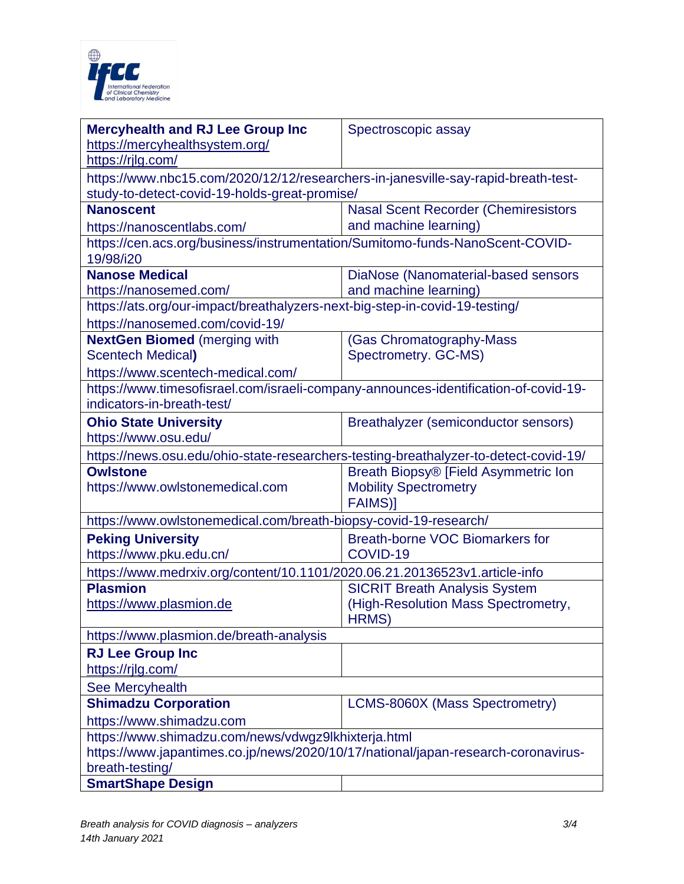

| <b>Mercyhealth and RJ Lee Group Inc</b>                                                                                            | Spectroscopic assay                         |  |
|------------------------------------------------------------------------------------------------------------------------------------|---------------------------------------------|--|
| https://mercyhealthsystem.org/<br>https://rjlg.com/                                                                                |                                             |  |
|                                                                                                                                    |                                             |  |
| https://www.nbc15.com/2020/12/12/researchers-in-janesville-say-rapid-breath-test-<br>study-to-detect-covid-19-holds-great-promise/ |                                             |  |
| <b>Nanoscent</b>                                                                                                                   | <b>Nasal Scent Recorder (Chemiresistors</b> |  |
| https://nanoscentlabs.com/                                                                                                         | and machine learning)                       |  |
| https://cen.acs.org/business/instrumentation/Sumitomo-funds-NanoScent-COVID-<br>19/98/i20                                          |                                             |  |
| <b>Nanose Medical</b>                                                                                                              | DiaNose (Nanomaterial-based sensors         |  |
| https://nanosemed.com/                                                                                                             | and machine learning)                       |  |
| https://ats.org/our-impact/breathalyzers-next-big-step-in-covid-19-testing/                                                        |                                             |  |
| https://nanosemed.com/covid-19/                                                                                                    |                                             |  |
| <b>NextGen Biomed (merging with</b>                                                                                                | (Gas Chromatography-Mass                    |  |
| <b>Scentech Medical)</b>                                                                                                           | Spectrometry. GC-MS)                        |  |
| https://www.scentech-medical.com/                                                                                                  |                                             |  |
| https://www.timesofisrael.com/israeli-company-announces-identification-of-covid-19-<br>indicators-in-breath-test/                  |                                             |  |
|                                                                                                                                    |                                             |  |
| <b>Ohio State University</b><br>https://www.osu.edu/                                                                               | Breathalyzer (semiconductor sensors)        |  |
|                                                                                                                                    |                                             |  |
| https://news.osu.edu/ohio-state-researchers-testing-breathalyzer-to-detect-covid-19/<br><b>Owlstone</b>                            | Breath Biopsy® [Field Asymmetric Ion        |  |
| https://www.owlstonemedical.com                                                                                                    | <b>Mobility Spectrometry</b>                |  |
|                                                                                                                                    | <b>FAIMS)</b>                               |  |
| https://www.owlstonemedical.com/breath-biopsy-covid-19-research/                                                                   |                                             |  |
| <b>Peking University</b>                                                                                                           | <b>Breath-borne VOC Biomarkers for</b>      |  |
| https://www.pku.edu.cn/                                                                                                            | COVID-19                                    |  |
| https://www.medrxiv.org/content/10.1101/2020.06.21.20136523v1.article-info                                                         |                                             |  |
| <b>Plasmion</b>                                                                                                                    | <b>SICRIT Breath Analysis System</b>        |  |
| https://www.plasmion.de                                                                                                            | (High-Resolution Mass Spectrometry,         |  |
|                                                                                                                                    | <b>HRMS)</b>                                |  |
| https://www.plasmion.de/breath-analysis                                                                                            |                                             |  |
| <b>RJ Lee Group Inc</b>                                                                                                            |                                             |  |
| https://rjlg.com/                                                                                                                  |                                             |  |
| See Mercyhealth                                                                                                                    |                                             |  |
| <b>Shimadzu Corporation</b>                                                                                                        | LCMS-8060X (Mass Spectrometry)              |  |
| https://www.shimadzu.com                                                                                                           |                                             |  |
| https://www.shimadzu.com/news/vdwgz9lkhixterja.html                                                                                |                                             |  |
| https://www.japantimes.co.jp/news/2020/10/17/national/japan-research-coronavirus-                                                  |                                             |  |
| breath-testing/                                                                                                                    |                                             |  |
| <b>SmartShape Design</b>                                                                                                           |                                             |  |